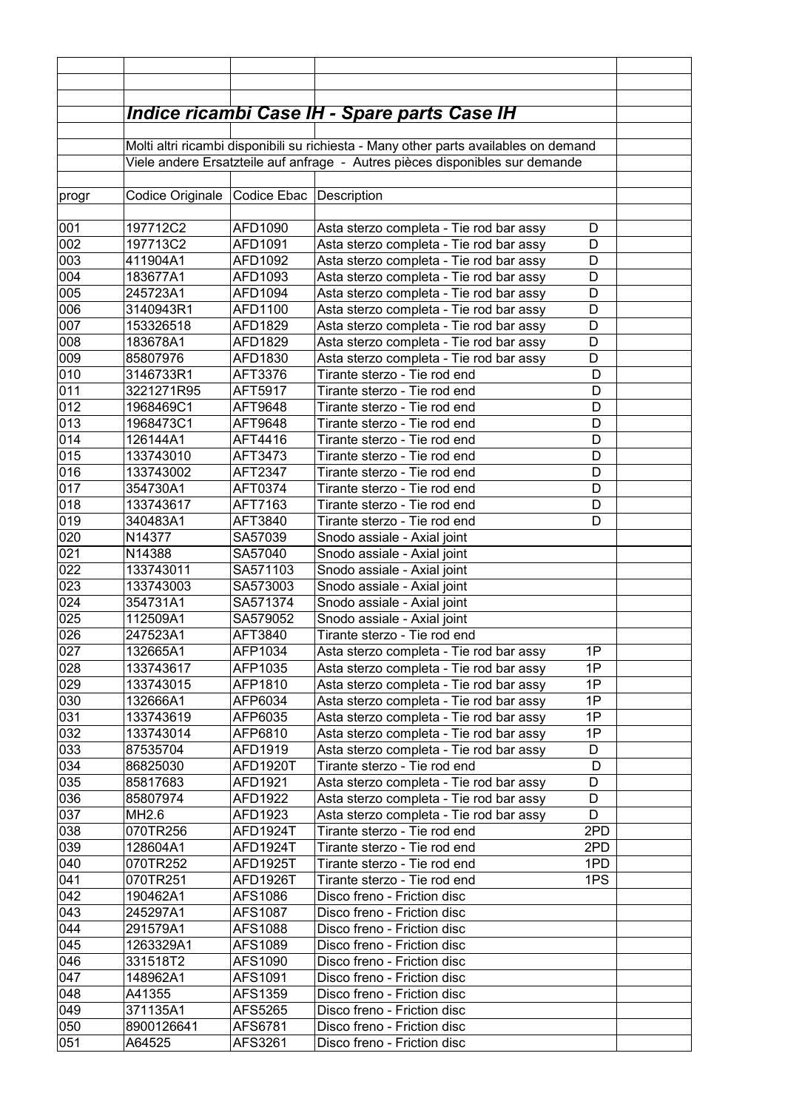|                 |                                                                                      |                         | <u> Indice ricambi Case IH - Spare parts Case IH</u> |     |  |
|-----------------|--------------------------------------------------------------------------------------|-------------------------|------------------------------------------------------|-----|--|
|                 |                                                                                      |                         |                                                      |     |  |
|                 | Molti altri ricambi disponibili su richiesta - Many other parts availables on demand |                         |                                                      |     |  |
|                 | Viele andere Ersatzteile auf anfrage - Autres pièces disponibles sur demande         |                         |                                                      |     |  |
| progr           | Codice Originale                                                                     | Codice Ebac Description |                                                      |     |  |
|                 |                                                                                      |                         |                                                      |     |  |
| 001             | 197712C2                                                                             | AFD1090                 | Asta sterzo completa - Tie rod bar assy              | D   |  |
| 002             | 197713C2                                                                             | AFD1091                 | Asta sterzo completa - Tie rod bar assy              | D   |  |
| 003             | 411904A1                                                                             | AFD1092                 | Asta sterzo completa - Tie rod bar assy              | D   |  |
| 004             | 183677A1                                                                             | AFD1093                 | Asta sterzo completa - Tie rod bar assy              | D   |  |
| 0 <sub>05</sub> | 245723A1                                                                             | AFD1094                 | Asta sterzo completa - Tie rod bar assy              | D   |  |
| 000             | 3140943R1                                                                            | AFD1100                 | Asta sterzo completa - Tie rod bar assy              | D   |  |
| 007             | 153326518                                                                            | AFD1829                 | Asta sterzo completa - Tie rod bar assy              | D   |  |
| 008             | 183678A1                                                                             | AFD1829                 | Asta sterzo completa - Tie rod bar assy              | D   |  |
| 009             | 85807976                                                                             | AFD1830                 | Asta sterzo completa - Tie rod bar assy              | D   |  |
| 010             | 3146733R1                                                                            | AFT3376                 | Tirante sterzo - Tie rod end                         | D   |  |
| 011             | 3221271R95                                                                           | AFT5917                 | Tirante sterzo - Tie rod end                         | D   |  |
| 012             | 1968469C1                                                                            | AFT9648                 | Tirante sterzo - Tie rod end                         | D   |  |
| 013             | 1968473C1                                                                            | AFT9648                 | Tirante sterzo - Tie rod end                         | D   |  |
| 014             | 126144A1                                                                             | AFT4416                 | Tirante sterzo - Tie rod end                         | D   |  |
| 015             | 133743010                                                                            | AFT3473                 | Tirante sterzo - Tie rod end                         | D   |  |
| 016             | 133743002                                                                            | AFT2347                 | Tirante sterzo - Tie rod end                         | D   |  |
| 017             | 354730A1                                                                             | AFT0374                 | Tirante sterzo - Tie rod end                         | D   |  |
| 018             | 133743617                                                                            | AFT7163                 | Tirante sterzo - Tie rod end                         | D   |  |
| 019             | 340483A1                                                                             | AFT3840                 | Tirante sterzo - Tie rod end                         | D   |  |
| 020             | N14377                                                                               | SA57039                 | Snodo assiale - Axial joint                          |     |  |
| 021             | N14388                                                                               | SA57040                 | Snodo assiale - Axial joint                          |     |  |
| 022             | 133743011                                                                            | SA571103                | Snodo assiale - Axial joint                          |     |  |
| 023             | 133743003                                                                            | SA573003                | Snodo assiale - Axial joint                          |     |  |
| 024             | 354731A1                                                                             | SA571374                | Snodo assiale - Axial joint                          |     |  |
| 025             | 112509A1                                                                             | SA579052                | Snodo assiale - Axial joint                          |     |  |
| 026             | 247523A1                                                                             | AFT3840                 | Tirante sterzo - Tie rod end                         |     |  |
| 027             | 132665A1                                                                             | AFP1034                 | Asta sterzo completa - Tie rod bar assy              | 1P. |  |
| 028             | 133743617                                                                            | AFP1035                 | Asta sterzo completa - Tie rod bar assy              | 1P  |  |
| 029             | 133743015                                                                            | AFP1810                 | Asta sterzo completa - Tie rod bar assy              | 1P  |  |
| 030             | 132666A1                                                                             | AFP6034                 | Asta sterzo completa - Tie rod bar assy              | 1P  |  |
| 031             | 133743619                                                                            | AFP6035                 | Asta sterzo completa - Tie rod bar assy              | 1P  |  |
| 032             | 133743014                                                                            | AFP6810                 | Asta sterzo completa - Tie rod bar assy              | 1P  |  |
| 033             | 87535704                                                                             | AFD1919                 | Asta sterzo completa - Tie rod bar assy              | D   |  |
| 034             | 86825030                                                                             | AFD1920T                | Tirante sterzo - Tie rod end                         | D   |  |
| 035             | 85817683                                                                             | AFD1921                 | Asta sterzo completa - Tie rod bar assy              | D   |  |
| 036             | 85807974                                                                             | AFD1922                 | Asta sterzo completa - Tie rod bar assy              | D   |  |
| 037             | MH2.6                                                                                | AFD1923                 | Asta sterzo completa - Tie rod bar assy              | D   |  |
| 038             | 070TR256                                                                             | AFD1924T                | Tirante sterzo - Tie rod end                         | 2PD |  |
| 039             | 128604A1                                                                             | AFD1924T                | Tirante sterzo - Tie rod end                         | 2PD |  |
| 040             | 070TR252                                                                             | AFD1925T                | Tirante sterzo - Tie rod end                         | 1PD |  |
| 041             | 070TR251                                                                             | AFD1926T                | Tirante sterzo - Tie rod end                         | 1PS |  |
| 042             | 190462A1                                                                             | AFS1086                 | Disco freno - Friction disc                          |     |  |
| 043             | 245297A1                                                                             | AFS1087                 | Disco freno - Friction disc                          |     |  |
| 044             | 291579A1                                                                             | AFS1088                 | Disco freno - Friction disc                          |     |  |
| 045             | 1263329A1                                                                            | AFS1089                 | Disco freno - Friction disc                          |     |  |
| 046             | 331518T2                                                                             | AFS1090                 | Disco freno - Friction disc                          |     |  |
| 047             | 148962A1                                                                             | AFS1091                 | Disco freno - Friction disc                          |     |  |
| 048             | A41355                                                                               | AFS1359                 | Disco freno - Friction disc                          |     |  |
| 049             | 371135A1                                                                             | AFS5265                 | Disco freno - Friction disc                          |     |  |
| 050             | 8900126641                                                                           | AFS6781                 | Disco freno - Friction disc                          |     |  |
| 051             | A64525                                                                               | AFS3261                 | Disco freno - Friction disc                          |     |  |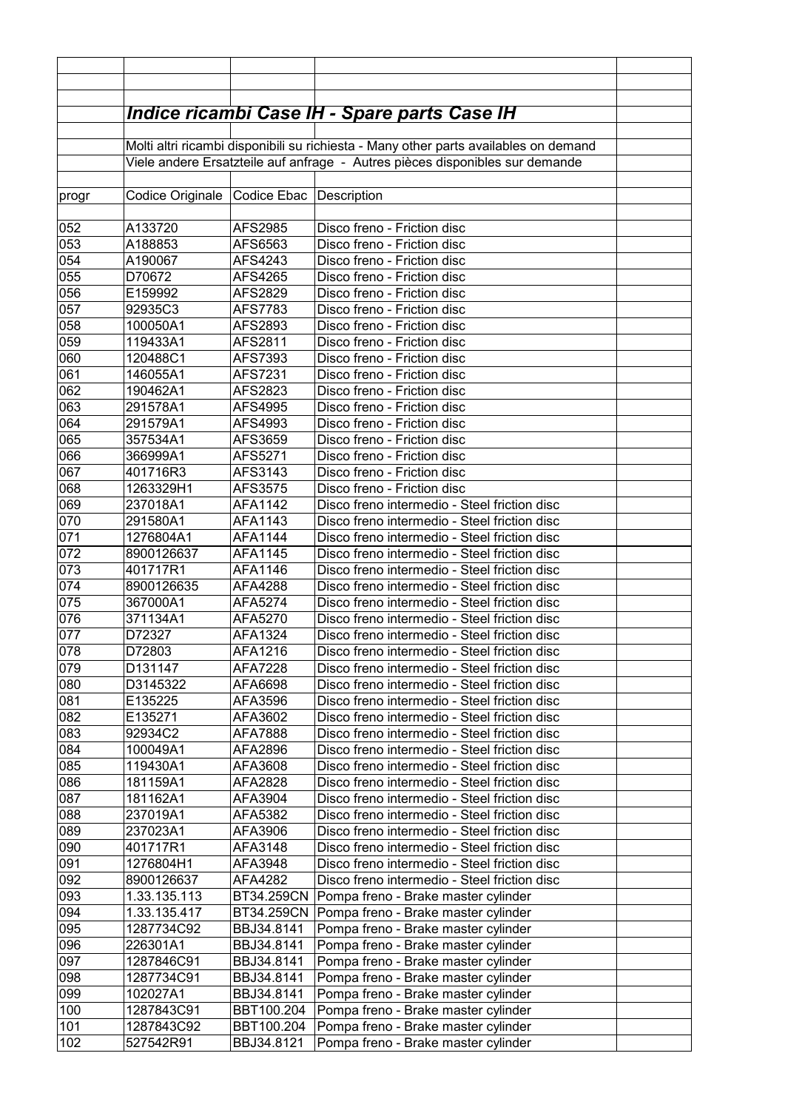|            |                                                                                      |                           | <b>Indice ricambi Case IH - Spare parts Case IH</b>                                          |  |
|------------|--------------------------------------------------------------------------------------|---------------------------|----------------------------------------------------------------------------------------------|--|
|            | Molti altri ricambi disponibili su richiesta - Many other parts availables on demand |                           |                                                                                              |  |
|            | Viele andere Ersatzteile auf anfrage - Autres pièces disponibles sur demande         |                           |                                                                                              |  |
|            |                                                                                      |                           |                                                                                              |  |
| progr      | Codice Originale                                                                     | Codice Ebac               | Description                                                                                  |  |
|            |                                                                                      |                           |                                                                                              |  |
| 052        | A133720                                                                              | <b>AFS2985</b>            | Disco freno - Friction disc                                                                  |  |
| 053<br>054 | A188853<br>A190067                                                                   | AFS6563<br>AFS4243        | Disco freno - Friction disc<br>Disco freno - Friction disc                                   |  |
| 055        | D70672                                                                               | AFS4265                   | Disco freno - Friction disc                                                                  |  |
| 056        | E159992                                                                              | AFS2829                   | Disco freno - Friction disc                                                                  |  |
| 057        | 92935C3                                                                              | AFS7783                   | Disco freno - Friction disc                                                                  |  |
| 058        | 100050A1                                                                             | AFS2893                   | Disco freno - Friction disc                                                                  |  |
| 059        | 119433A1                                                                             | AFS2811                   | Disco freno - Friction disc                                                                  |  |
| 060        | 120488C1                                                                             | AFS7393                   | Disco freno - Friction disc                                                                  |  |
| 061        | 146055A1                                                                             | AFS7231                   | Disco freno - Friction disc                                                                  |  |
| 062        | 190462A1                                                                             | AFS2823                   | Disco freno - Friction disc                                                                  |  |
| 063        | 291578A1                                                                             | AFS4995                   | Disco freno - Friction disc                                                                  |  |
| 064        | 291579A1                                                                             | AFS4993                   | Disco freno - Friction disc                                                                  |  |
| 065<br>066 | 357534A1<br>366999A1                                                                 | AFS3659<br>AFS5271        | Disco freno - Friction disc<br>Disco freno - Friction disc                                   |  |
| 067        | 401716R3                                                                             | AFS3143                   | Disco freno - Friction disc                                                                  |  |
| 068        | 1263329H1                                                                            | AFS3575                   | Disco freno - Friction disc                                                                  |  |
| 069        | 237018A1                                                                             | AFA1142                   | Disco freno intermedio - Steel friction disc                                                 |  |
| 070        | 291580A1                                                                             | AFA1143                   | Disco freno intermedio - Steel friction disc                                                 |  |
| 071        | 1276804A1                                                                            | AFA1144                   | Disco freno intermedio - Steel friction disc                                                 |  |
| 072        | 8900126637                                                                           | AFA1145                   | Disco freno intermedio - Steel friction disc                                                 |  |
| 073        | 401717R1                                                                             | AFA1146                   | Disco freno intermedio - Steel friction disc                                                 |  |
| 074        | 8900126635                                                                           | AFA4288                   | Disco freno intermedio - Steel friction disc                                                 |  |
| 075        | 367000A1                                                                             | AFA5274                   | Disco freno intermedio - Steel friction disc                                                 |  |
| 076        | 371134A1                                                                             | AFA5270                   | Disco freno intermedio - Steel friction disc                                                 |  |
| 077        | D72327                                                                               | AFA1324                   | Disco freno intermedio - Steel friction disc                                                 |  |
| 078<br>079 | D72803                                                                               | AFA1216<br><b>AFA7228</b> | Disco freno intermedio - Steel friction disc<br>Disco freno intermedio - Steel friction disc |  |
| 080        | D131147<br>D3145322                                                                  | AFA6698                   | Disco freno intermedio - Steel friction disc                                                 |  |
| 081        | E135225                                                                              | AFA3596                   | Disco freno intermedio - Steel friction disc                                                 |  |
| 082        | E135271                                                                              | AFA3602                   | Disco freno intermedio - Steel friction disc                                                 |  |
| 083        | 92934C2                                                                              | AFA7888                   | Disco freno intermedio - Steel friction disc                                                 |  |
| 084        | 100049A1                                                                             | AFA2896                   | Disco freno intermedio - Steel friction disc                                                 |  |
| 085        | 119430A1                                                                             | AFA3608                   | Disco freno intermedio - Steel friction disc                                                 |  |
| 086        | 181159A1                                                                             | AFA2828                   | Disco freno intermedio - Steel friction disc                                                 |  |
| 087        | 181162A1                                                                             | AFA3904                   | Disco freno intermedio - Steel friction disc                                                 |  |
| 088        | 237019A1                                                                             | AFA5382                   | Disco freno intermedio - Steel friction disc                                                 |  |
| 089        | 237023A1                                                                             | AFA3906                   | Disco freno intermedio - Steel friction disc                                                 |  |
| 090        | 401717R1                                                                             | AFA3148                   | Disco freno intermedio - Steel friction disc                                                 |  |
| 091<br>092 | 1276804H1                                                                            | AFA3948                   | Disco freno intermedio - Steel friction disc                                                 |  |
| 093        | 8900126637<br>1.33.135.113                                                           | AFA4282<br>BT34.259CN     | Disco freno intermedio - Steel friction disc<br>Pompa freno - Brake master cylinder          |  |
| 094        | 1.33.135.417                                                                         | BT34.259CN                | Pompa freno - Brake master cylinder                                                          |  |
| 095        | 1287734C92                                                                           | BBJ34.8141                | Pompa freno - Brake master cylinder                                                          |  |
| 096        | 226301A1                                                                             | BBJ34.8141                | Pompa freno - Brake master cylinder                                                          |  |
| 097        | 1287846C91                                                                           | BBJ34.8141                | Pompa freno - Brake master cylinder                                                          |  |
| 098        | 1287734C91                                                                           | BBJ34.8141                | Pompa freno - Brake master cylinder                                                          |  |
| 099        | 102027A1                                                                             | BBJ34.8141                | Pompa freno - Brake master cylinder                                                          |  |
| 100        | 1287843C91                                                                           | BBT100.204                | Pompa freno - Brake master cylinder                                                          |  |
| 101        | 1287843C92                                                                           | BBT100.204                | Pompa freno - Brake master cylinder                                                          |  |
| 102        | 527542R91                                                                            | BBJ34.8121                | Pompa freno - Brake master cylinder                                                          |  |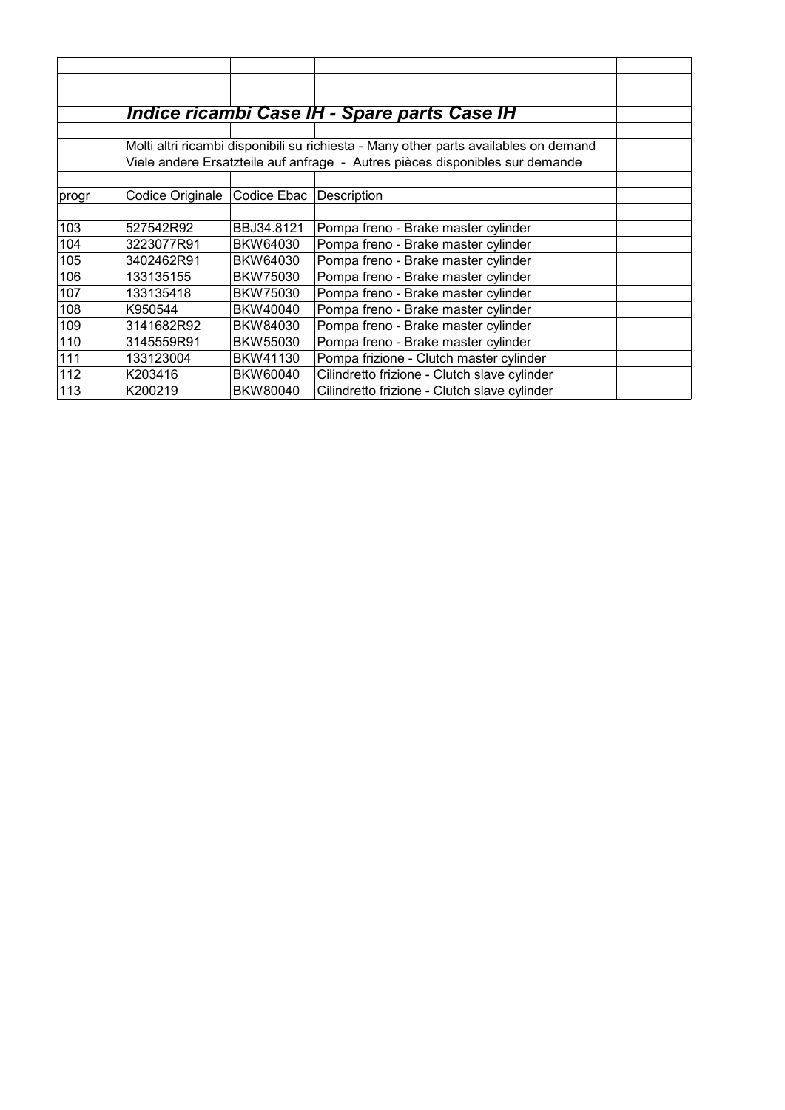| Indice ricambi Case IH - Spare parts Case IH<br>Molti altri ricambi disponibili su richiesta - Many other parts availables on demand<br>Viele andere Ersatzteile auf anfrage - Autres pièces disponibles sur demande<br>Codice Originale<br>Codice Ebac<br>Description<br>∣progr<br>103<br>527542R92<br>BBJ34.8121<br>Pompa freno - Brake master cylinder<br>104<br>Pompa freno - Brake master cylinder<br>3223077R91<br>BKW64030<br>Pompa freno - Brake master cylinder<br>105<br>3402462R91<br>BKW64030<br>Pompa freno - Brake master cylinder<br>106<br>133135155<br>BKW75030<br>Pompa freno - Brake master cylinder<br>107<br>133135418<br>BKW75030<br>Pompa freno - Brake master cylinder<br>108<br>BKW40040<br>K950544 |     |            |          |                                     |  |
|------------------------------------------------------------------------------------------------------------------------------------------------------------------------------------------------------------------------------------------------------------------------------------------------------------------------------------------------------------------------------------------------------------------------------------------------------------------------------------------------------------------------------------------------------------------------------------------------------------------------------------------------------------------------------------------------------------------------------|-----|------------|----------|-------------------------------------|--|
|                                                                                                                                                                                                                                                                                                                                                                                                                                                                                                                                                                                                                                                                                                                              |     |            |          |                                     |  |
|                                                                                                                                                                                                                                                                                                                                                                                                                                                                                                                                                                                                                                                                                                                              |     |            |          |                                     |  |
|                                                                                                                                                                                                                                                                                                                                                                                                                                                                                                                                                                                                                                                                                                                              |     |            |          |                                     |  |
|                                                                                                                                                                                                                                                                                                                                                                                                                                                                                                                                                                                                                                                                                                                              |     |            |          |                                     |  |
|                                                                                                                                                                                                                                                                                                                                                                                                                                                                                                                                                                                                                                                                                                                              |     |            |          |                                     |  |
|                                                                                                                                                                                                                                                                                                                                                                                                                                                                                                                                                                                                                                                                                                                              |     |            |          |                                     |  |
|                                                                                                                                                                                                                                                                                                                                                                                                                                                                                                                                                                                                                                                                                                                              |     |            |          |                                     |  |
|                                                                                                                                                                                                                                                                                                                                                                                                                                                                                                                                                                                                                                                                                                                              |     |            |          |                                     |  |
|                                                                                                                                                                                                                                                                                                                                                                                                                                                                                                                                                                                                                                                                                                                              |     |            |          |                                     |  |
|                                                                                                                                                                                                                                                                                                                                                                                                                                                                                                                                                                                                                                                                                                                              |     |            |          |                                     |  |
|                                                                                                                                                                                                                                                                                                                                                                                                                                                                                                                                                                                                                                                                                                                              |     |            |          |                                     |  |
|                                                                                                                                                                                                                                                                                                                                                                                                                                                                                                                                                                                                                                                                                                                              |     |            |          |                                     |  |
|                                                                                                                                                                                                                                                                                                                                                                                                                                                                                                                                                                                                                                                                                                                              |     |            |          |                                     |  |
|                                                                                                                                                                                                                                                                                                                                                                                                                                                                                                                                                                                                                                                                                                                              |     |            |          |                                     |  |
|                                                                                                                                                                                                                                                                                                                                                                                                                                                                                                                                                                                                                                                                                                                              |     |            |          |                                     |  |
|                                                                                                                                                                                                                                                                                                                                                                                                                                                                                                                                                                                                                                                                                                                              |     |            |          |                                     |  |
|                                                                                                                                                                                                                                                                                                                                                                                                                                                                                                                                                                                                                                                                                                                              | 109 | 3141682R92 | BKW84030 | Pompa freno - Brake master cylinder |  |
| Pompa freno - Brake master cylinder<br>110<br>3145559R91<br>BKW55030                                                                                                                                                                                                                                                                                                                                                                                                                                                                                                                                                                                                                                                         |     |            |          |                                     |  |
| Pompa frizione - Clutch master cylinder<br>111<br>133123004<br>BKW41130                                                                                                                                                                                                                                                                                                                                                                                                                                                                                                                                                                                                                                                      |     |            |          |                                     |  |
| 112<br>Cilindretto frizione - Clutch slave cylinder<br>K203416<br>BKW60040                                                                                                                                                                                                                                                                                                                                                                                                                                                                                                                                                                                                                                                   |     |            |          |                                     |  |
| 113<br>Cilindretto frizione - Clutch slave cylinder<br>K200219<br>BKW80040                                                                                                                                                                                                                                                                                                                                                                                                                                                                                                                                                                                                                                                   |     |            |          |                                     |  |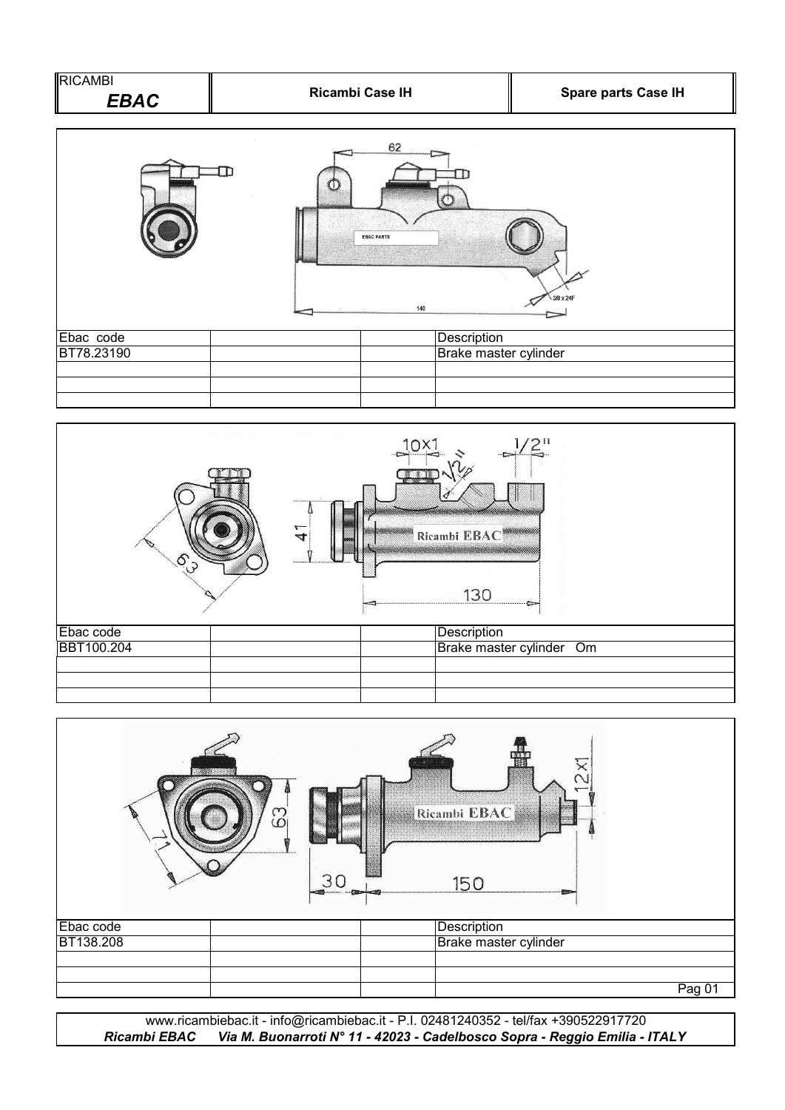



|           | က္တ | Ricambi EBAC<br>an mara ta |        |
|-----------|-----|----------------------------|--------|
|           | 30  | 150                        |        |
| Ebac code |     | Description                |        |
| BT138.208 |     | Brake master cylinder      |        |
|           |     |                            |        |
|           |     |                            | Pag 01 |
|           |     |                            |        |

*Ricambi EBAC Via M. Buonarroti N° 11 - 42023 - Cadelbosco Sopra - Reggio Emilia - ITALY* www.ricambiebac.it - info@ricambiebac.it - P.I. 02481240352 - tel/fax +390522917720